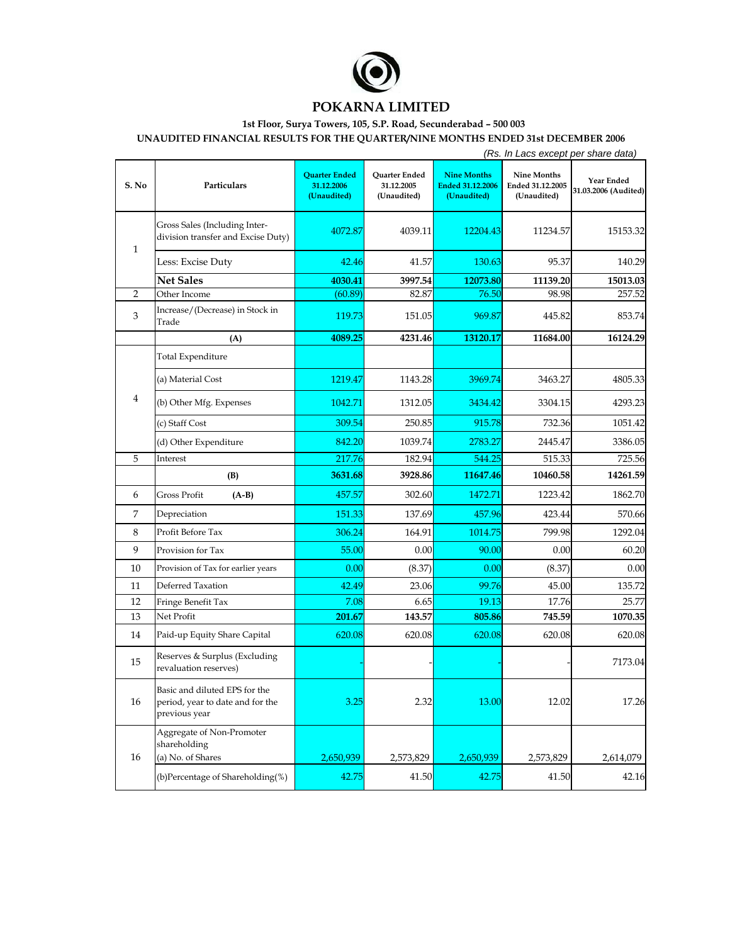

## **POKARNA LIMITED**

## **1st Floor, Surya Towers, 105, S.P. Road, Secunderabad – 500 003**

**UNAUDITED FINANCIAL RESULTS FOR THE QUARTER/NINE MONTHS ENDED 31st DECEMBER 2006**

|              |                                                                                    | (Rs. In Lacs except per share data)               |                                            |                                                              |                                                       |                                    |  |  |  |
|--------------|------------------------------------------------------------------------------------|---------------------------------------------------|--------------------------------------------|--------------------------------------------------------------|-------------------------------------------------------|------------------------------------|--|--|--|
| S. No        | Particulars                                                                        | <b>Quarter Ended</b><br>31.12.2006<br>(Unaudited) | Quarter Ended<br>31.12.2005<br>(Unaudited) | <b>Nine Months</b><br><b>Ended 31.12.2006</b><br>(Unaudited) | <b>Nine Months</b><br>Ended 31.12.2005<br>(Unaudited) | Year Ended<br>31.03.2006 (Audited) |  |  |  |
| $\mathbf{1}$ | Gross Sales (Including Inter-<br>division transfer and Excise Duty)                | 4072.87                                           | 4039.11                                    | 12204.43                                                     | 11234.57                                              | 15153.32                           |  |  |  |
|              | Less: Excise Duty                                                                  | 42.46                                             | 41.57                                      | 130.63                                                       | 95.37                                                 | 140.29                             |  |  |  |
|              | <b>Net Sales</b>                                                                   | 4030.41                                           | 3997.54                                    | 12073.80                                                     | 11139.20                                              | 15013.03                           |  |  |  |
| 2            | Other Income                                                                       | (60.89)                                           | 82.87                                      | 76.50                                                        | 98.98                                                 | 257.52                             |  |  |  |
| 3            | Increase/(Decrease) in Stock in<br>Trade                                           | 119.73                                            | 151.05                                     | 969.87                                                       | 445.82                                                | 853.74                             |  |  |  |
|              | (A)                                                                                | 4089.25                                           | 4231.46                                    | 13120.17                                                     | 11684.00                                              | 16124.29                           |  |  |  |
|              | <b>Total Expenditure</b>                                                           |                                                   |                                            |                                                              |                                                       |                                    |  |  |  |
| 4            | (a) Material Cost                                                                  | 1219.47                                           | 1143.28                                    | 3969.74                                                      | 3463.27                                               | 4805.33                            |  |  |  |
|              | (b) Other Mfg. Expenses                                                            | 1042.71                                           | 1312.05                                    | 3434.42                                                      | 3304.15                                               | 4293.23                            |  |  |  |
|              | (c) Staff Cost                                                                     | 309.54                                            | 250.85                                     | 915.78                                                       | 732.36                                                | 1051.42                            |  |  |  |
|              | (d) Other Expenditure                                                              | 842.20                                            | 1039.74                                    | 2783.27                                                      | 2445.47                                               | 3386.05                            |  |  |  |
| 5            | Interest                                                                           | 217.76                                            | 182.94                                     | 544.25                                                       | 515.33                                                | 725.56                             |  |  |  |
|              | (B)                                                                                | 3631.68                                           | 3928.86                                    | 11647.46                                                     | 10460.58                                              | 14261.59                           |  |  |  |
| 6            | Gross Profit<br>$(A-B)$                                                            | 457.57                                            | 302.60                                     | 1472.71                                                      | 1223.42                                               | 1862.70                            |  |  |  |
| 7            | Depreciation                                                                       | 151.33                                            | 137.69                                     | 457.96                                                       | 423.44                                                | 570.66                             |  |  |  |
| 8            | Profit Before Tax                                                                  | 306.24                                            | 164.91                                     | 1014.75                                                      | 799.98                                                | 1292.04                            |  |  |  |
| 9            | Provision for Tax                                                                  | 55.00                                             | 0.00                                       | 90.00                                                        | 0.00                                                  | 60.20                              |  |  |  |
| 10           | Provision of Tax for earlier years                                                 | 0.00                                              | (8.37)                                     | 0.00                                                         | (8.37)                                                | 0.00                               |  |  |  |
| 11           | Deferred Taxation                                                                  | 42.49                                             | 23.06                                      | 99.76                                                        | 45.00                                                 | 135.72                             |  |  |  |
| 12           | Fringe Benefit Tax                                                                 | 7.08                                              | 6.65                                       | 19.13                                                        | 17.76                                                 | 25.77                              |  |  |  |
| 13           | Net Profit                                                                         | 201.67                                            | 143.57                                     | 805.86                                                       | 745.59                                                | 1070.35                            |  |  |  |
| 14           | Paid-up Equity Share Capital                                                       | 620.08                                            | 620.08                                     | 620.08                                                       | 620.08                                                | 620.08                             |  |  |  |
| 15           | Reserves & Surplus (Excluding<br>revaluation reserves)                             |                                                   |                                            |                                                              |                                                       | 7173.04                            |  |  |  |
| 16           | Basic and diluted EPS for the<br>period, year to date and for the<br>previous year | 3.25                                              | 2.32                                       | 13.00                                                        | 12.02                                                 | 17.26                              |  |  |  |
| 16           | Aggregate of Non-Promoter<br>shareholding<br>(a) No. of Shares                     | 2,650,939                                         | 2,573,829                                  | 2,650,939                                                    | 2,573,829                                             | 2,614,079                          |  |  |  |
|              | (b)Percentage of Shareholding(%)                                                   | 42.75                                             | 41.50                                      | 42.75                                                        | 41.50                                                 | 42.16                              |  |  |  |
|              |                                                                                    |                                                   |                                            |                                                              |                                                       |                                    |  |  |  |